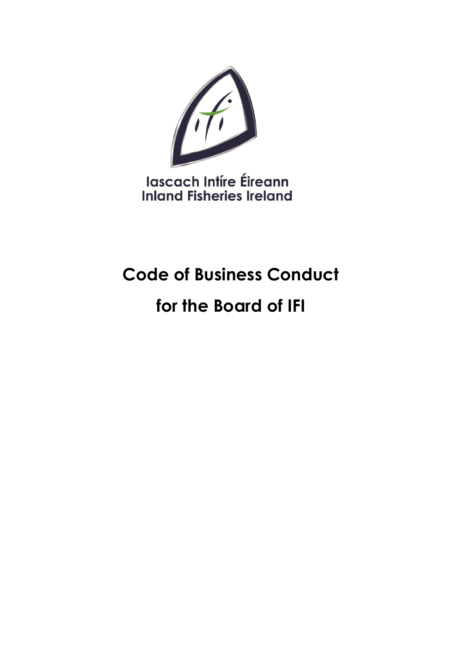

lascach Intíre Éireann **Inland Fisheries Ireland** 

# **Code of Business Conduct**

# **for the Board of IFI**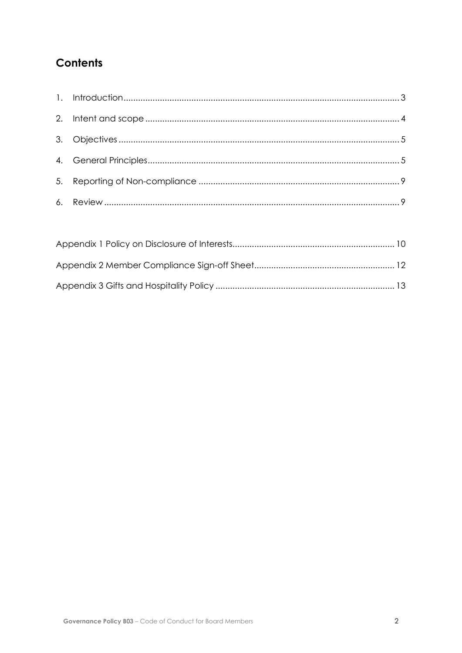# **Contents**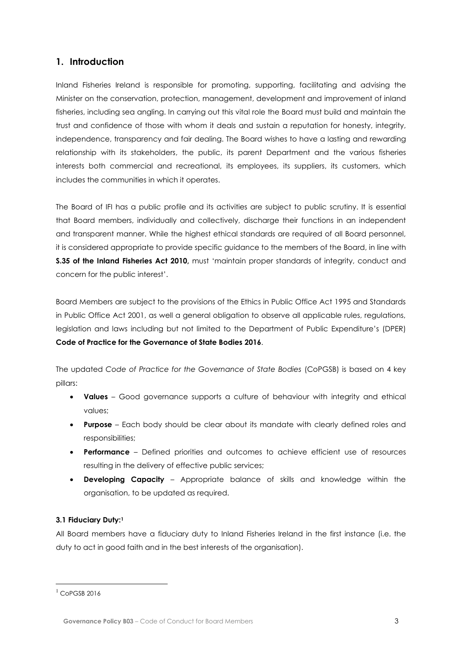# <span id="page-2-0"></span>**1. Introduction**

Inland Fisheries Ireland is responsible for promoting, supporting, facilitating and advising the Minister on the conservation, protection, management, development and improvement of inland fisheries, including sea angling. In carrying out this vital role the Board must build and maintain the trust and confidence of those with whom it deals and sustain a reputation for honesty, integrity, independence, transparency and fair dealing. The Board wishes to have a lasting and rewarding relationship with its stakeholders, the public, its parent Department and the various fisheries interests both commercial and recreational, its employees, its suppliers, its customers, which includes the communities in which it operates.

The Board of IFI has a public profile and its activities are subject to public scrutiny. It is essential that Board members, individually and collectively, discharge their functions in an independent and transparent manner. While the highest ethical standards are required of all Board personnel, it is considered appropriate to provide specific guidance to the members of the Board, in line with **S.35 of the Inland Fisheries Act 2010,** must 'maintain proper standards of integrity, conduct and concern for the public interest'.

Board Members are subject to the provisions of the Ethics in Public Office Act 1995 and Standards in Public Office Act 2001, as well a general obligation to observe all applicable rules, regulations, legislation and laws including but not limited to the Department of Public Expenditure's (DPER) **Code of Practice for the Governance of State Bodies 2016**.

The updated *Code of Practice for the Governance of State Bodies* (CoPGSB) is based on 4 key pillars:

- **Values**  Good governance supports a culture of behaviour with integrity and ethical values;
- **Purpose**  Each body should be clear about its mandate with clearly defined roles and responsibilities;
- **Performance**  Defined priorities and outcomes to achieve efficient use of resources resulting in the delivery of effective public services;
- **Developing Capacity**  Appropriate balance of skills and knowledge within the organisation, to be updated as required.

#### **3.1 Fiduciary Duty:<sup>1</sup>**

All Board members have a fiduciary duty to Inland Fisheries Ireland in the first instance (i.e. the duty to act in good faith and in the best interests of the organisation).

 $1$  CoPGSB 2016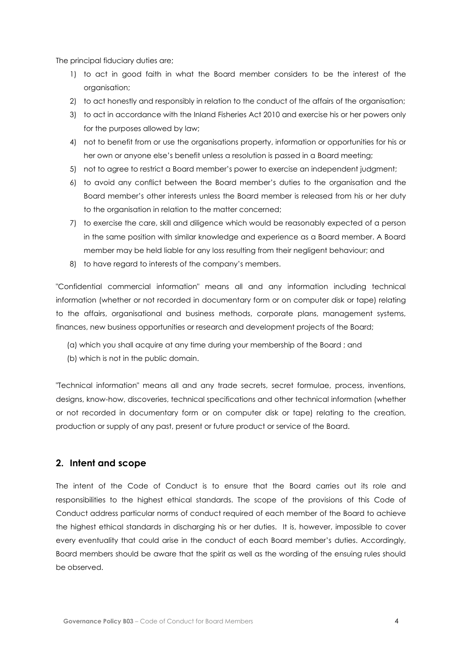The principal fiduciary duties are;

- 1) to act in good faith in what the Board member considers to be the interest of the organisation;
- 2) to act honestly and responsibly in relation to the conduct of the affairs of the organisation;
- 3) to act in accordance with the Inland Fisheries Act 2010 and exercise his or her powers only for the purposes allowed by law;
- 4) not to benefit from or use the organisations property, information or opportunities for his or her own or anyone else's benefit unless a resolution is passed in a Board meeting;
- 5) not to agree to restrict a Board member's power to exercise an independent judgment;
- 6) to avoid any conflict between the Board member's duties to the organisation and the Board member's other interests unless the Board member is released from his or her duty to the organisation in relation to the matter concerned;
- 7) to exercise the care, skill and diligence which would be reasonably expected of a person in the same position with similar knowledge and experience as a Board member. A Board member may be held liable for any loss resulting from their negligent behaviour; and
- 8) to have regard to interests of the company's members.

"Confidential commercial information" means all and any information including technical information (whether or not recorded in documentary form or on computer disk or tape) relating to the affairs, organisational and business methods, corporate plans, management systems, finances, new business opportunities or research and development projects of the Board;

- (a) which you shall acquire at any time during your membership of the Board ; and
- (b) which is not in the public domain.

"Technical information" means all and any trade secrets, secret formulae, process, inventions, designs, know-how, discoveries, technical specifications and other technical information (whether or not recorded in documentary form or on computer disk or tape) relating to the creation, production or supply of any past, present or future product or service of the Board.

### <span id="page-3-0"></span>**2. Intent and scope**

The intent of the Code of Conduct is to ensure that the Board carries out its role and responsibilities to the highest ethical standards. The scope of the provisions of this Code of Conduct address particular norms of conduct required of each member of the Board to achieve the highest ethical standards in discharging his or her duties. It is, however, impossible to cover every eventuality that could arise in the conduct of each Board member's duties. Accordingly, Board members should be aware that the spirit as well as the wording of the ensuing rules should be observed.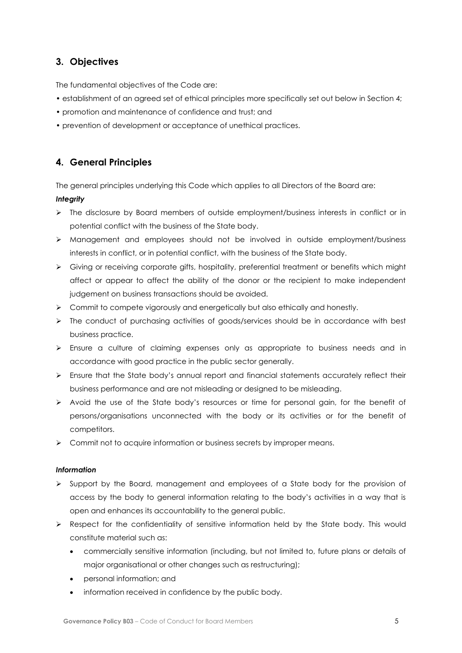# <span id="page-4-0"></span>**3. Objectives**

The fundamental objectives of the Code are:

- establishment of an agreed set of ethical principles more specifically set out below in Section 4;
- promotion and maintenance of confidence and trust; and
- prevention of development or acceptance of unethical practices.

# <span id="page-4-1"></span>**4. General Principles**

The general principles underlying this Code which applies to all Directors of the Board are:

### *Integrity*

- ➢ The disclosure by Board members of outside employment/business interests in conflict or in potential conflict with the business of the State body.
- ➢ Management and employees should not be involved in outside employment/business interests in conflict, or in potential conflict, with the business of the State body.
- ➢ Giving or receiving corporate gifts, hospitality, preferential treatment or benefits which might affect or appear to affect the ability of the donor or the recipient to make independent judgement on business transactions should be avoided.
- $\triangleright$  Commit to compete vigorously and energetically but also ethically and honestly.
- ➢ The conduct of purchasing activities of goods/services should be in accordance with best business practice.
- ➢ Ensure a culture of claiming expenses only as appropriate to business needs and in accordance with good practice in the public sector generally.
- ➢ Ensure that the State body's annual report and financial statements accurately reflect their business performance and are not misleading or designed to be misleading.
- ➢ Avoid the use of the State body's resources or time for personal gain, for the benefit of persons/organisations unconnected with the body or its activities or for the benefit of competitors.
- ➢ Commit not to acquire information or business secrets by improper means.

### *Information*

- ➢ Support by the Board, management and employees of a State body for the provision of access by the body to general information relating to the body's activities in a way that is open and enhances its accountability to the general public.
- ➢ Respect for the confidentiality of sensitive information held by the State body. This would constitute material such as:
	- commercially sensitive information (including, but not limited to, future plans or details of major organisational or other changes such as restructuring);
	- personal information; and
	- information received in confidence by the public body.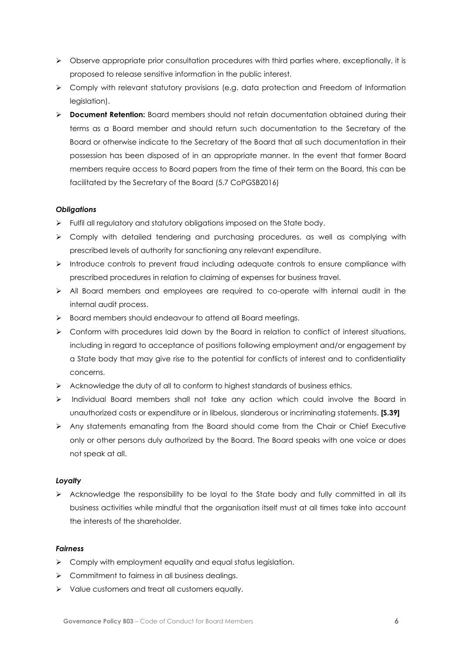- ➢ Observe appropriate prior consultation procedures with third parties where, exceptionally, it is proposed to release sensitive information in the public interest.
- ➢ Comply with relevant statutory provisions (e.g. data protection and Freedom of Information legislation).
- ➢ **Document Retention:** Board members should not retain documentation obtained during their terms as a Board member and should return such documentation to the Secretary of the Board or otherwise indicate to the Secretary of the Board that all such documentation in their possession has been disposed of in an appropriate manner. In the event that former Board members require access to Board papers from the time of their term on the Board, this can be facilitated by the Secretary of the Board (5.7 CoPGSB2016)

#### *Obligations*

- ➢ Fulfil all regulatory and statutory obligations imposed on the State body.
- ➢ Comply with detailed tendering and purchasing procedures, as well as complying with prescribed levels of authority for sanctioning any relevant expenditure.
- ➢ Introduce controls to prevent fraud including adequate controls to ensure compliance with prescribed procedures in relation to claiming of expenses for business travel.
- ➢ All Board members and employees are required to co-operate with internal audit in the internal audit process.
- ➢ Board members should endeavour to attend all Board meetings.
- ➢ Conform with procedures laid down by the Board in relation to conflict of interest situations, including in regard to acceptance of positions following employment and/or engagement by a State body that may give rise to the potential for conflicts of interest and to confidentiality concerns.
- ➢ Acknowledge the duty of all to conform to highest standards of business ethics.
- ➢ Individual Board members shall not take any action which could involve the Board in unauthorized costs or expenditure or in libelous, slanderous or incriminating statements. **[S.39]**
- ➢ Any statements emanating from the Board should come from the Chair or Chief Executive only or other persons duly authorized by the Board. The Board speaks with one voice or does not speak at all.

#### *Loyalty*

➢ Acknowledge the responsibility to be loyal to the State body and fully committed in all its business activities while mindful that the organisation itself must at all times take into account the interests of the shareholder.

#### *Fairness*

- ➢ Comply with employment equality and equal status legislation.
- ➢ Commitment to fairness in all business dealings.
- ➢ Value customers and treat all customers equally.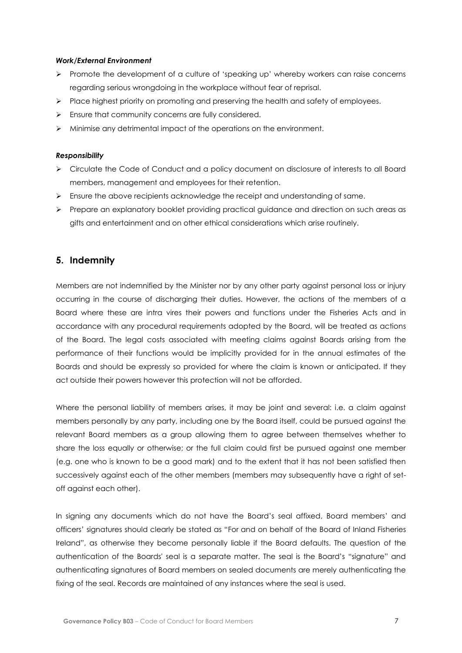#### *Work/External Environment*

- ➢ Promote the development of a culture of 'speaking up' whereby workers can raise concerns regarding serious wrongdoing in the workplace without fear of reprisal.
- ➢ Place highest priority on promoting and preserving the health and safety of employees.
- ➢ Ensure that community concerns are fully considered.
- ➢ Minimise any detrimental impact of the operations on the environment.

#### *Responsibility*

- ➢ Circulate the Code of Conduct and a policy document on disclosure of interests to all Board members, management and employees for their retention.
- ➢ Ensure the above recipients acknowledge the receipt and understanding of same.
- ➢ Prepare an explanatory booklet providing practical guidance and direction on such areas as gifts and entertainment and on other ethical considerations which arise routinely.

### **5. Indemnity**

Members are not indemnified by the Minister nor by any other party against personal loss or injury occurring in the course of discharging their duties. However, the actions of the members of a Board where these are intra vires their powers and functions under the Fisheries Acts and in accordance with any procedural requirements adopted by the Board, will be treated as actions of the Board. The legal costs associated with meeting claims against Boards arising from the performance of their functions would be implicitly provided for in the annual estimates of the Boards and should be expressly so provided for where the claim is known or anticipated. If they act outside their powers however this protection will not be afforded.

Where the personal liability of members arises, it may be joint and several: i.e. a claim against members personally by any party, including one by the Board itself, could be pursued against the relevant Board members as a group allowing them to agree between themselves whether to share the loss equally or otherwise; or the full claim could first be pursued against one member (e.g. one who is known to be a good mark) and to the extent that it has not been satisfied then successively against each of the other members (members may subsequently have a right of setoff against each other).

In signing any documents which do not have the Board's seal affixed, Board members' and officers' signatures should clearly be stated as "For and on behalf of the Board of Inland Fisheries Ireland", as otherwise they become personally liable if the Board defaults. The question of the authentication of the Boards' seal is a separate matter. The seal is the Board's "signature" and authenticating signatures of Board members on sealed documents are merely authenticating the fixing of the seal. Records are maintained of any instances where the seal is used.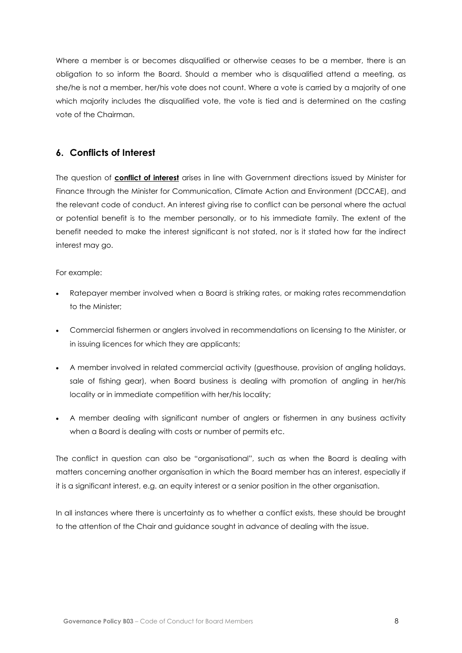Where a member is or becomes disqualified or otherwise ceases to be a member, there is an obligation to so inform the Board. Should a member who is disqualified attend a meeting, as she/he is not a member, her/his vote does not count. Where a vote is carried by a majority of one which majority includes the disqualified vote, the vote is tied and is determined on the casting vote of the Chairman.

## **6. Conflicts of Interest**

The question of **conflict of interest** arises in line with Government directions issued by Minister for Finance through the Minister for Communication, Climate Action and Environment (DCCAE), and the relevant code of conduct. An interest giving rise to conflict can be personal where the actual or potential benefit is to the member personally, or to his immediate family. The extent of the benefit needed to make the interest significant is not stated, nor is it stated how far the indirect interest may go.

#### For example:

- Ratepayer member involved when a Board is striking rates, or making rates recommendation to the Minister;
- Commercial fishermen or anglers involved in recommendations on licensing to the Minister, or in issuing licences for which they are applicants;
- A member involved in related commercial activity (guesthouse, provision of angling holidays, sale of fishing gear), when Board business is dealing with promotion of angling in her/his locality or in immediate competition with her/his locality;
- A member dealing with significant number of anglers or fishermen in any business activity when a Board is dealing with costs or number of permits etc.

The conflict in question can also be "organisational", such as when the Board is dealing with matters concerning another organisation in which the Board member has an interest, especially if it is a significant interest, e.g. an equity interest or a senior position in the other organisation.

In all instances where there is uncertainty as to whether a conflict exists, these should be brought to the attention of the Chair and guidance sought in advance of dealing with the issue.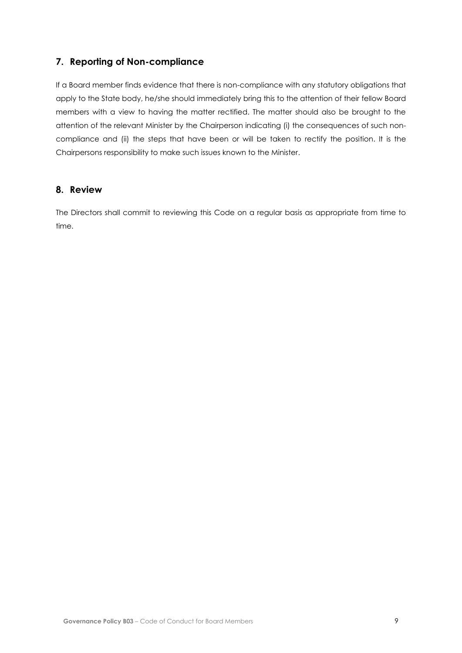# <span id="page-8-0"></span>**7. Reporting of Non-compliance**

If a Board member finds evidence that there is non-compliance with any statutory obligations that apply to the State body, he/she should immediately bring this to the attention of their fellow Board members with a view to having the matter rectified. The matter should also be brought to the attention of the relevant Minister by the Chairperson indicating (i) the consequences of such noncompliance and (ii) the steps that have been or will be taken to rectify the position. It is the Chairpersons responsibility to make such issues known to the Minister.

### <span id="page-8-1"></span>**8. Review**

The Directors shall commit to reviewing this Code on a regular basis as appropriate from time to time.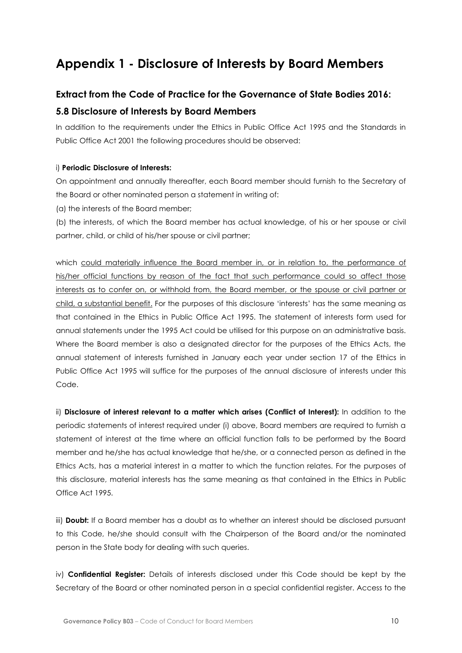# <span id="page-9-0"></span>**Appendix 1 - Disclosure of Interests by Board Members**

# **Extract from the Code of Practice for the Governance of State Bodies 2016: 5.8 Disclosure of Interests by Board Members**

In addition to the requirements under the Ethics in Public Office Act 1995 and the Standards in Public Office Act 2001 the following procedures should be observed:

#### i) **Periodic Disclosure of Interests:**

On appointment and annually thereafter, each Board member should furnish to the Secretary of the Board or other nominated person a statement in writing of:

(a) the interests of the Board member;

(b) the interests, of which the Board member has actual knowledge, of his or her spouse or civil partner, child, or child of his/her spouse or civil partner;

which could materially influence the Board member in, or in relation to, the performance of his/her official functions by reason of the fact that such performance could so affect those interests as to confer on, or withhold from, the Board member, or the spouse or civil partner or child, a substantial benefit. For the purposes of this disclosure 'interests' has the same meaning as that contained in the Ethics in Public Office Act 1995. The statement of interests form used for annual statements under the 1995 Act could be utilised for this purpose on an administrative basis. Where the Board member is also a designated director for the purposes of the Ethics Acts, the annual statement of interests furnished in January each year under section 17 of the Ethics in Public Office Act 1995 will suffice for the purposes of the annual disclosure of interests under this Code.

ii) **Disclosure of interest relevant to a matter which arises (Conflict of Interest):** In addition to the periodic statements of interest required under (i) above, Board members are required to furnish a statement of interest at the time where an official function falls to be performed by the Board member and he/she has actual knowledge that he/she, or a connected person as defined in the Ethics Acts, has a material interest in a matter to which the function relates. For the purposes of this disclosure, material interests has the same meaning as that contained in the Ethics in Public Office Act 1995.

iii) **Doubt:** If a Board member has a doubt as to whether an interest should be disclosed pursuant to this Code, he/she should consult with the Chairperson of the Board and/or the nominated person in the State body for dealing with such queries.

iv) **Confidential Register:** Details of interests disclosed under this Code should be kept by the Secretary of the Board or other nominated person in a special confidential register. Access to the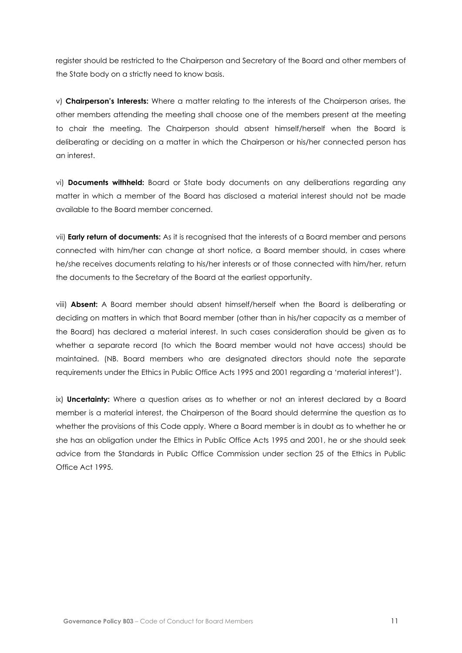register should be restricted to the Chairperson and Secretary of the Board and other members of the State body on a strictly need to know basis.

v) **Chairperson's Interests:** Where a matter relating to the interests of the Chairperson arises, the other members attending the meeting shall choose one of the members present at the meeting to chair the meeting. The Chairperson should absent himself/herself when the Board is deliberating or deciding on a matter in which the Chairperson or his/her connected person has an interest.

vi) **Documents withheld:** Board or State body documents on any deliberations regarding any matter in which a member of the Board has disclosed a material interest should not be made available to the Board member concerned.

vii) **Early return of documents:** As it is recognised that the interests of a Board member and persons connected with him/her can change at short notice, a Board member should, in cases where he/she receives documents relating to his/her interests or of those connected with him/her, return the documents to the Secretary of the Board at the earliest opportunity.

viii) **Absent:** A Board member should absent himself/herself when the Board is deliberating or deciding on matters in which that Board member (other than in his/her capacity as a member of the Board) has declared a material interest. In such cases consideration should be given as to whether a separate record (to which the Board member would not have access) should be maintained. (NB. Board members who are designated directors should note the separate requirements under the Ethics in Public Office Acts 1995 and 2001 regarding a 'material interest').

ix) **Uncertainty:** Where a question arises as to whether or not an interest declared by a Board member is a material interest, the Chairperson of the Board should determine the question as to whether the provisions of this Code apply. Where a Board member is in doubt as to whether he or she has an obligation under the Ethics in Public Office Acts 1995 and 2001, he or she should seek advice from the Standards in Public Office Commission under section 25 of the Ethics in Public Office Act 1995.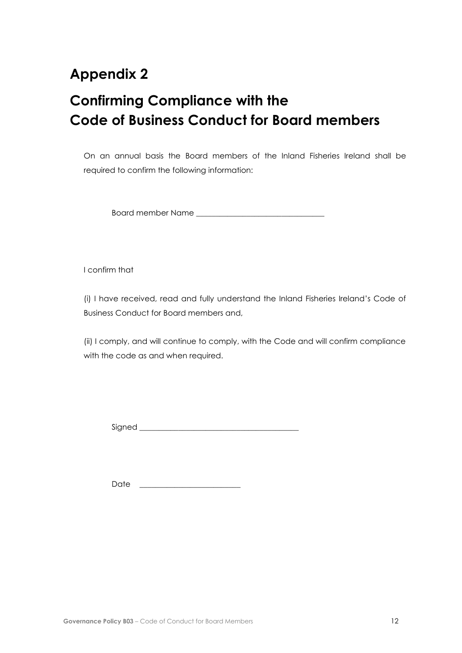# <span id="page-11-0"></span>**Appendix 2**

# **Confirming Compliance with the Code of Business Conduct for Board members**

On an annual basis the Board members of the Inland Fisheries Ireland shall be required to confirm the following information:

Board member Name

I confirm that

(i) I have received, read and fully understand the Inland Fisheries Ireland's Code of Business Conduct for Board members and,

(ii) I comply, and will continue to comply, with the Code and will confirm compliance with the code as and when required.

Signed \_\_\_\_\_\_\_\_\_\_\_\_\_\_\_\_\_\_\_\_\_\_\_\_\_\_\_\_\_\_\_\_\_\_\_\_\_\_\_\_\_

 $Date$   $\Box$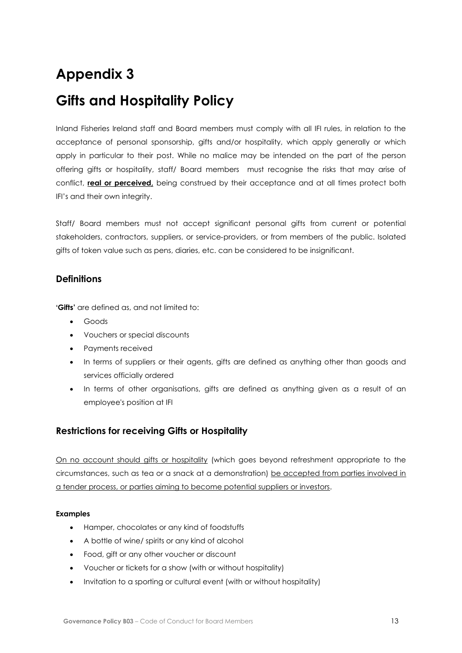# <span id="page-12-0"></span>**Appendix 3**

# **Gifts and Hospitality Policy**

Inland Fisheries Ireland staff and Board members must comply with all IFI rules, in relation to the acceptance of personal sponsorship, gifts and/or hospitality, which apply generally or which apply in particular to their post. While no malice may be intended on the part of the person offering gifts or hospitality, staff/ Board members must recognise the risks that may arise of conflict, **real or perceived,** being construed by their acceptance and at all times protect both IFI's and their own integrity.

Staff/ Board members must not accept significant personal gifts from current or potential stakeholders, contractors, suppliers, or service‐providers, or from members of the public. Isolated gifts of token value such as pens, diaries, etc. can be considered to be insignificant.

### **Definitions**

**'Gifts'** are defined as, and not limited to:

- Goods
- Vouchers or special discounts
- Payments received
- In terms of suppliers or their agents, gifts are defined as anything other than goods and services officially ordered
- In terms of other organisations, gifts are defined as anything given as a result of an employee's position at IFI

# **Restrictions for receiving Gifts or Hospitality**

On no account should gifts or hospitality (which goes beyond refreshment appropriate to the circumstances, such as tea or a snack at a demonstration) be accepted from parties involved in a tender process, or parties aiming to become potential suppliers or investors.

#### **Examples**

- Hamper, chocolates or any kind of foodstuffs
- A bottle of wine/ spirits or any kind of alcohol
- Food, gift or any other voucher or discount
- Voucher or tickets for a show (with or without hospitality)
- Invitation to a sporting or cultural event (with or without hospitality)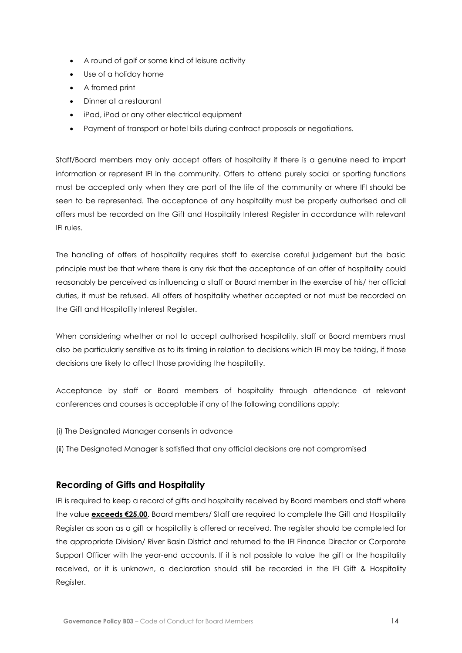- A round of golf or some kind of leisure activity
- Use of a holiday home
- A framed print
- Dinner at a restaurant
- iPad, iPod or any other electrical equipment
- Payment of transport or hotel bills during contract proposals or negotiations.

Staff/Board members may only accept offers of hospitality if there is a genuine need to impart information or represent IFI in the community. Offers to attend purely social or sporting functions must be accepted only when they are part of the life of the community or where IFI should be seen to be represented. The acceptance of any hospitality must be properly authorised and all offers must be recorded on the Gift and Hospitality Interest Register in accordance with relevant IFI rules.

The handling of offers of hospitality requires staff to exercise careful judgement but the basic principle must be that where there is any risk that the acceptance of an offer of hospitality could reasonably be perceived as influencing a staff or Board member in the exercise of his/ her official duties, it must be refused. All offers of hospitality whether accepted or not must be recorded on the Gift and Hospitality Interest Register.

When considering whether or not to accept authorised hospitality, staff or Board members must also be particularly sensitive as to its timing in relation to decisions which IFI may be taking, if those decisions are likely to affect those providing the hospitality.

Acceptance by staff or Board members of hospitality through attendance at relevant conferences and courses is acceptable if any of the following conditions apply:

- (i) The Designated Manager consents in advance
- (ii) The Designated Manager is satisfied that any official decisions are not compromised

### **Recording of Gifts and Hospitality**

IFI is required to keep a record of gifts and hospitality received by Board members and staff where the value **exceeds €25.00**. Board members/ Staff are required to complete the Gift and Hospitality Register as soon as a gift or hospitality is offered or received. The register should be completed for the appropriate Division/ River Basin District and returned to the IFI Finance Director or Corporate Support Officer with the year-end accounts. If it is not possible to value the gift or the hospitality received, or it is unknown, a declaration should still be recorded in the IFI Gift & Hospitality Register.